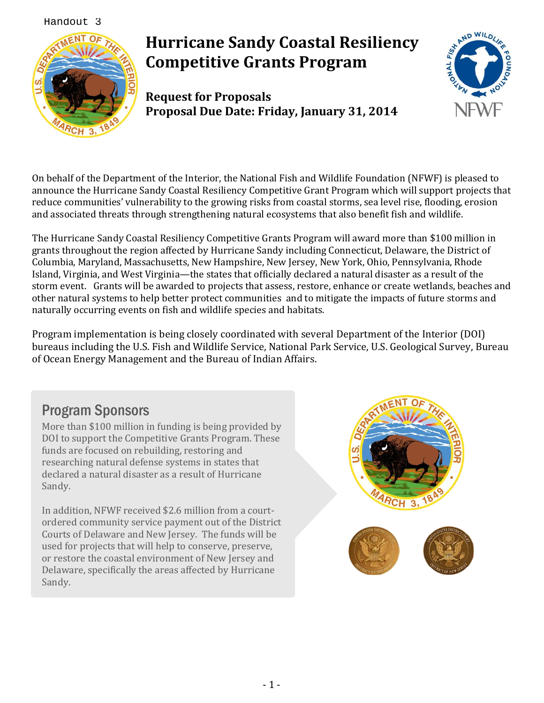Handout 3



# **Hurricane Sandy Coastal Resiliency Competitive Grants Program**

**Request for Proposals Proposal Due Date: Friday, January 31, 2014**



On behalf of the Department of the Interior, the National Fish and Wildlife Foundation (NFWF) is pleased to announce the Hurricane Sandy Coastal Resiliency Competitive Grant Program which will support projects that reduce communities' vulnerability to the growing risks from coastal storms, sea level rise, flooding, erosion and associated threats through strengthening natural ecosystems that also benefit fish and wildlife.

The Hurricane Sandy Coastal Resiliency Competitive Grants Program will award more than \$100 million in grants throughout the region affected by Hurricane Sandy including Connecticut, Delaware, the District of Columbia, Maryland, Massachusetts, New Hampshire, New Jersey, New York, Ohio, Pennsylvania, Rhode Island, Virginia, and West Virginia—the states that officially declared a natural disaster as a result of the storm event. Grants will be awarded to projects that assess, restore, enhance or create wetlands, beaches and other natural systems to help better protect communities and to mitigate the impacts of future storms and naturally occurring events on fish and wildlife species and habitats.

Program implementation is being closely coordinated with several Department of the Interior (DOI) bureaus including the U.S. Fish and Wildlife Service, National Park Service, U.S. Geological Survey, Bureau of Ocean Energy Management and the Bureau of Indian Affairs.

# Program Sponsors

More than \$100 million in funding is being provided by DOI to support the Competitive Grants Program. These funds are focused on rebuilding, restoring and researching natural defense systems in states that declared a natural disaster as a result of Hurricane Sandy.

In addition, NFWF received \$2.6 million from a courtordered community service payment out of the District Courts of Delaware and New Jersey. The funds will be used for projects that will help to conserve, preserve, or restore the coastal environment of New Jersey and Delaware, specifically the areas affected by Hurricane Sandy.

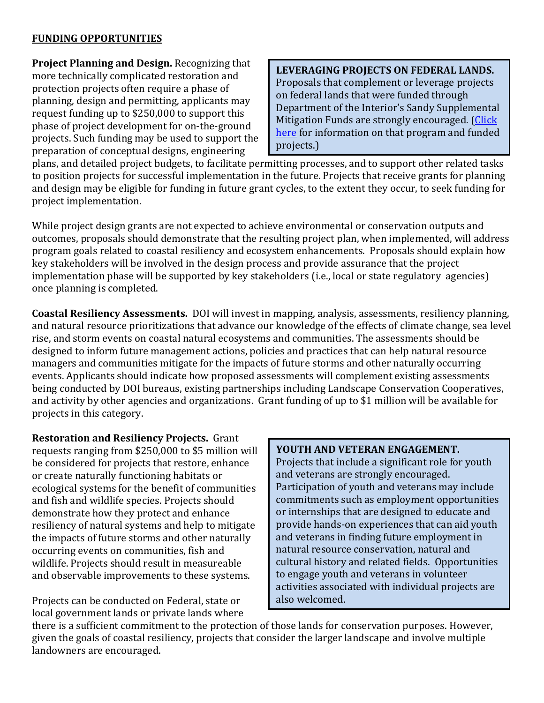### **FUNDING OPPORTUNITIES**

**Project Planning and Design.** Recognizing that more technically complicated restoration and protection projects often require a phase of planning, design and permitting, applicants may request funding up to \$250,000 to support this phase of project development for on-the-ground projects. Such funding may be used to support the preparation of conceptual designs, engineering

**LEVERAGING PROJECTS ON FEDERAL LANDS.** Proposals that complement or leverage projects on federal lands that were funded through Department of the Interior's Sandy Supplemental Mitigation Funds are strongly encouraged. (Click [here](http://www.nfwf.org/hurricanesandy/Pages/doi_funding.aspx) for information on that program and funded projects.)

plans, and detailed project budgets, to facilitate permitting processes, and to support other related tasks to position projects for successful implementation in the future. Projects that receive grants for planning and design may be eligible for funding in future grant cycles, to the extent they occur, to seek funding for project implementation.

While project design grants are not expected to achieve environmental or conservation outputs and outcomes, proposals should demonstrate that the resulting project plan, when implemented, will address program goals related to coastal resiliency and ecosystem enhancements. Proposals should explain how key stakeholders will be involved in the design process and provide assurance that the project implementation phase will be supported by key stakeholders (i.e., local or state regulatory agencies) once planning is completed.

**Coastal Resiliency Assessments.** DOI will invest in mapping, analysis, assessments, resiliency planning, and natural resource prioritizations that advance our knowledge of the effects of climate change, sea level rise, and storm events on coastal natural ecosystems and communities. The assessments should be designed to inform future management actions, policies and practices that can help natural resource managers and communities mitigate for the impacts of future storms and other naturally occurring events. Applicants should indicate how proposed assessments will complement existing assessments being conducted by DOI bureaus, existing partnerships including Landscape Conservation Cooperatives, and activity by other agencies and organizations. Grant funding of up to \$1 million will be available for projects in this category.

**Restoration and Resiliency Projects.** Grant requests ranging from \$250,000 to \$5 million will be considered for projects that restore, enhance or create naturally functioning habitats or ecological systems for the benefit of communities and fish and wildlife species. Projects should demonstrate how they protect and enhance resiliency of natural systems and help to mitigate the impacts of future storms and other naturally occurring events on communities, fish and wildlife. Projects should result in measureable and observable improvements to these systems.

Projects can be conducted on Federal, state or local government lands or private lands where

#### **YOUTH AND VETERAN ENGAGEMENT.**

Projects that include a significant role for youth and veterans are strongly encouraged. Participation of youth and veterans may include commitments such as employment opportunities or internships that are designed to educate and provide hands-on experiences that can aid youth and veterans in finding future employment in natural resource conservation, natural and cultural history and related fields. Opportunities to engage youth and veterans in volunteer activities associated with individual projects are also welcomed.

there is a sufficient commitment to the protection of those lands for conservation purposes. However, given the goals of coastal resiliency, projects that consider the larger landscape and involve multiple landowners are encouraged.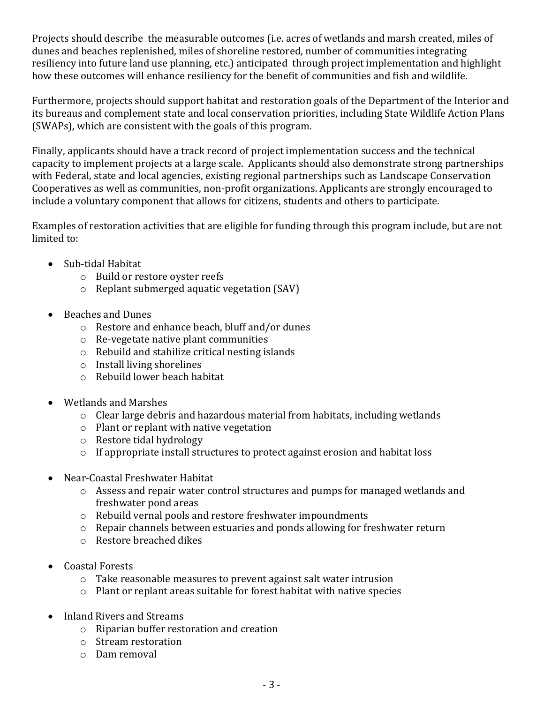Projects should describe the measurable outcomes (i.e. acres of wetlands and marsh created, miles of dunes and beaches replenished, miles of shoreline restored, number of communities integrating resiliency into future land use planning, etc.) anticipated through project implementation and highlight how these outcomes will enhance resiliency for the benefit of communities and fish and wildlife.

Furthermore, projects should support habitat and restoration goals of the Department of the Interior and its bureaus and complement state and local conservation priorities, including State Wildlife Action Plans (SWAPs), which are consistent with the goals of this program.

Finally, applicants should have a track record of project implementation success and the technical capacity to implement projects at a large scale. Applicants should also demonstrate strong partnerships with Federal, state and local agencies, existing regional partnerships such as Landscape Conservation Cooperatives as well as communities, non-profit organizations. Applicants are strongly encouraged to include a voluntary component that allows for citizens, students and others to participate.

Examples of restoration activities that are eligible for funding through this program include, but are not limited to:

- Sub-tidal Habitat
	- o Build or restore oyster reefs
	- o Replant submerged aquatic vegetation (SAV)
- Beaches and Dunes
	- o Restore and enhance beach, bluff and/or dunes
	- o Re-vegetate native plant communities
	- o Rebuild and stabilize critical nesting islands
	- o Install living shorelines
	- o Rebuild lower beach habitat
- Wetlands and Marshes
	- o Clear large debris and hazardous material from habitats, including wetlands
	- o Plant or replant with native vegetation
	- o Restore tidal hydrology
	- o If appropriate install structures to protect against erosion and habitat loss
- Near-Coastal Freshwater Habitat
	- o Assess and repair water control structures and pumps for managed wetlands and freshwater pond areas
	- o Rebuild vernal pools and restore freshwater impoundments
	- o Repair channels between estuaries and ponds allowing for freshwater return
	- o Restore breached dikes
- Coastal Forests
	- o Take reasonable measures to prevent against salt water intrusion
	- o Plant or replant areas suitable for forest habitat with native species
- Inland Rivers and Streams
	- o Riparian buffer restoration and creation
	- o Stream restoration
	- o Dam removal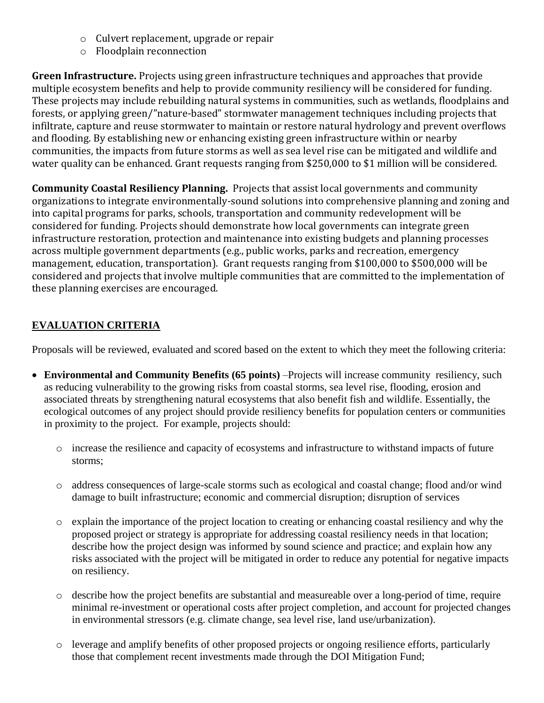- o Culvert replacement, upgrade or repair
- o Floodplain reconnection

**Green Infrastructure.** Projects using green infrastructure techniques and approaches that provide multiple ecosystem benefits and help to provide community resiliency will be considered for funding. These projects may include rebuilding natural systems in communities, such as wetlands, floodplains and forests, or applying green/"nature-based" stormwater management techniques including projects that infiltrate, capture and reuse stormwater to maintain or restore natural hydrology and prevent overflows and flooding. By establishing new or enhancing existing green infrastructure within or nearby communities, the impacts from future storms as well as sea level rise can be mitigated and wildlife and water quality can be enhanced. Grant requests ranging from \$250,000 to \$1 million will be considered.

**Community Coastal Resiliency Planning.** Projects that assist local governments and community organizations to integrate environmentally-sound solutions into comprehensive planning and zoning and into capital programs for parks, schools, transportation and community redevelopment will be considered for funding. Projects should demonstrate how local governments can integrate green infrastructure restoration, protection and maintenance into existing budgets and planning processes across multiple government departments (e.g., public works, parks and recreation, emergency management, education, transportation). Grant requests ranging from \$100,000 to \$500,000 will be considered and projects that involve multiple communities that are committed to the implementation of these planning exercises are encouraged.

## **EVALUATION CRITERIA**

Proposals will be reviewed, evaluated and scored based on the extent to which they meet the following criteria:

- **Environmental and Community Benefits (65 points)** –Projects will increase community resiliency, such as reducing vulnerability to the growing risks from coastal storms, sea level rise, flooding, erosion and associated threats by strengthening natural ecosystems that also benefit fish and wildlife. Essentially, the ecological outcomes of any project should provide resiliency benefits for population centers or communities in proximity to the project. For example, projects should:
	- o increase the resilience and capacity of ecosystems and infrastructure to withstand impacts of future storms;
	- o address consequences of large-scale storms such as ecological and coastal change; flood and/or wind damage to built infrastructure; economic and commercial disruption; disruption of services
	- o explain the importance of the project location to creating or enhancing coastal resiliency and why the proposed project or strategy is appropriate for addressing coastal resiliency needs in that location; describe how the project design was informed by sound science and practice; and explain how any risks associated with the project will be mitigated in order to reduce any potential for negative impacts on resiliency.
	- o describe how the project benefits are substantial and measureable over a long-period of time, require minimal re-investment or operational costs after project completion, and account for projected changes in environmental stressors (e.g. climate change, sea level rise, land use/urbanization).
	- o leverage and amplify benefits of other proposed projects or ongoing resilience efforts, particularly those that complement recent investments made through the DOI Mitigation Fund;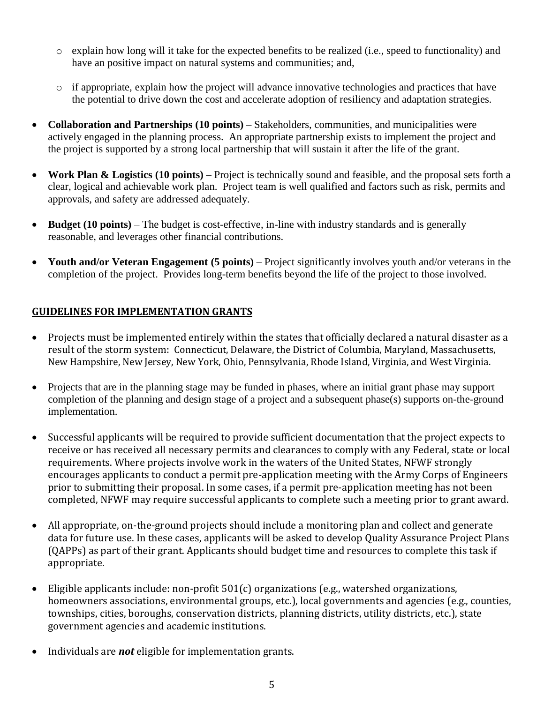- $\circ$  explain how long will it take for the expected benefits to be realized (i.e., speed to functionality) and have an positive impact on natural systems and communities; and,
- o if appropriate, explain how the project will advance innovative technologies and practices that have the potential to drive down the cost and accelerate adoption of resiliency and adaptation strategies.
- **Collaboration and Partnerships (10 points)** Stakeholders, communities, and municipalities were actively engaged in the planning process. An appropriate partnership exists to implement the project and the project is supported by a strong local partnership that will sustain it after the life of the grant.
- **Work Plan & Logistics (10 points)** Project is technically sound and feasible, and the proposal sets forth a clear, logical and achievable work plan. Project team is well qualified and factors such as risk, permits and approvals, and safety are addressed adequately.
- **Budget (10 points)** The budget is cost-effective, in-line with industry standards and is generally reasonable, and leverages other financial contributions.
- **Youth and/or Veteran Engagement (5 points)** Project significantly involves youth and/or veterans in the completion of the project. Provides long-term benefits beyond the life of the project to those involved.

### **GUIDELINES FOR IMPLEMENTATION GRANTS**

- Projects must be implemented entirely within the states that officially declared a natural disaster as a result of the storm system: Connecticut, Delaware, the District of Columbia, Maryland, Massachusetts, New Hampshire, New Jersey, New York, Ohio, Pennsylvania, Rhode Island, Virginia, and West Virginia.
- Projects that are in the planning stage may be funded in phases, where an initial grant phase may support completion of the planning and design stage of a project and a subsequent phase(s) supports on-the-ground implementation.
- Successful applicants will be required to provide sufficient documentation that the project expects to receive or has received all necessary permits and clearances to comply with any Federal, state or local requirements. Where projects involve work in the waters of the United States, NFWF strongly encourages applicants to conduct a permit pre-application meeting with the Army Corps of Engineers prior to submitting their proposal. In some cases, if a permit pre-application meeting has not been completed, NFWF may require successful applicants to complete such a meeting prior to grant award.
- All appropriate, on-the-ground projects should include a monitoring plan and collect and generate data for future use. In these cases, applicants will be asked to develop Quality Assurance Project Plans (QAPPs) as part of their grant. Applicants should budget time and resources to complete this task if appropriate.
- Eligible applicants include: non-profit 501(c) organizations (e.g., watershed organizations, homeowners associations, environmental groups, etc.), local governments and agencies (e.g., counties, townships, cities, boroughs, conservation districts, planning districts, utility districts, etc.), state government agencies and academic institutions.
- Individuals are *not* eligible for implementation grants.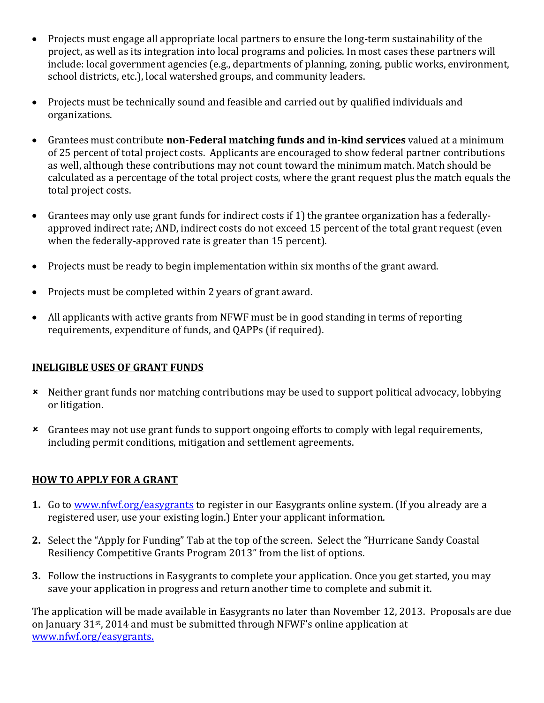- Projects must engage all appropriate local partners to ensure the long-term sustainability of the project, as well as its integration into local programs and policies. In most cases these partners will include: local government agencies (e.g., departments of planning, zoning, public works, environment, school districts, etc.), local watershed groups, and community leaders.
- Projects must be technically sound and feasible and carried out by qualified individuals and organizations.
- Grantees must contribute **non-Federal matching funds and in-kind services** valued at a minimum of 25 percent of total project costs. Applicants are encouraged to show federal partner contributions as well, although these contributions may not count toward the minimum match. Match should be calculated as a percentage of the total project costs, where the grant request plus the match equals the total project costs.
- Grantees may only use grant funds for indirect costs if 1) the grantee organization has a federallyapproved indirect rate; AND, indirect costs do not exceed 15 percent of the total grant request (even when the federally-approved rate is greater than 15 percent).
- Projects must be ready to begin implementation within six months of the grant award.
- Projects must be completed within 2 years of grant award.
- All applicants with active grants from NFWF must be in good standing in terms of reporting requirements, expenditure of funds, and QAPPs (if required).

### **INELIGIBLE USES OF GRANT FUNDS**

- Neither grant funds nor matching contributions may be used to support political advocacy, lobbying or litigation.
- Grantees may not use grant funds to support ongoing efforts to comply with legal requirements, including permit conditions, mitigation and settlement agreements.

### **HOW TO APPLY FOR A GRANT**

- **1.** Go to [www.nfwf.org/easygrants](http://www.nfwf.org/easygrants) to register in our Easygrants online system. (If you already are a registered user, use your existing login.) Enter your applicant information.
- **2.** Select the "Apply for Funding" Tab at the top of the screen. Select the "Hurricane Sandy Coastal Resiliency Competitive Grants Program 2013" from the list of options.
- **3.** Follow the instructions in Easygrants to complete your application. Once you get started, you may save your application in progress and return another time to complete and submit it.

The application will be made available in Easygrants no later than November 12, 2013. Proposals are due on January 31st, 2014 and must be submitted through NFWF's online application at [www.nfwf.org/easygrants.](http://www.nfwf.org/easygrants)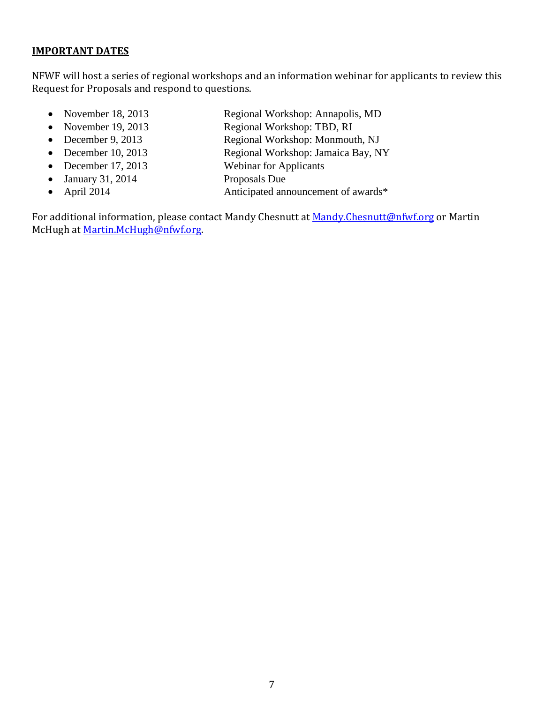#### **IMPORTANT DATES**

NFWF will host a series of regional workshops and an information webinar for applicants to review this Request for Proposals and respond to questions.

- November 18, 2013 Regional Workshop: Annapolis, MD
- 
- 
- 
- 
- 
- 
- 
- November 19, 2013 Regional Workshop: TBD, RI
- December 9, 2013 Regional Workshop: Monmouth, NJ
- December 10, 2013 Regional Workshop: Jamaica Bay, NY
- December 17, 2013 Webinar for Applicants
- January 31, 2014 Proposals Due
- April 2014 Anticipated announcement of awards\*

For additional information, please contact Mandy Chesnutt at [Mandy.Chesnutt@nfwf.org](mailto:Mandy.Chesnutt@nfwf.org) or Martin McHugh a[t Martin.McHugh@nfwf.org.](mailto:Martin.McHugh@nfwf.org)